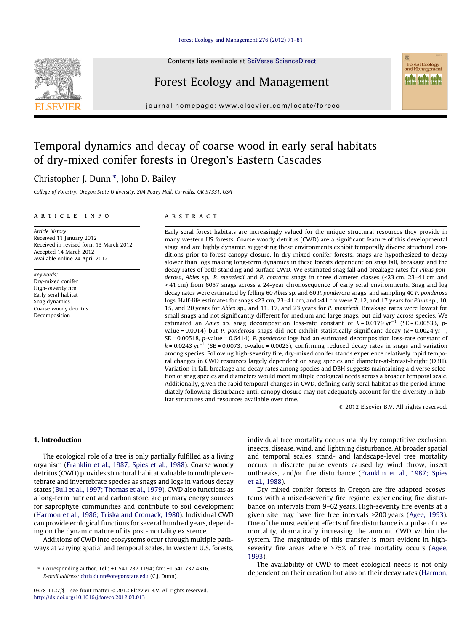#### [Forest Ecology and Management 276 \(2012\) 71–81](http://dx.doi.org/10.1016/j.foreco.2012.03.013)



Contents lists available at [SciVerse ScienceDirect](http://www.sciencedirect.com/science/journal/03781127)

## Forest Ecology and Management

journal homepage: [www.elsevier.com/locate/foreco](http://www.elsevier.com/locate/foreco)

# Temporal dynamics and decay of coarse wood in early seral habitats of dry-mixed conifer forests in Oregon's Eastern Cascades

## Christopher J. Dunn<sup>\*</sup>, John D. Bailey

College of Forestry, Oregon State University, 204 Peavy Hall, Corvallis, OR 97331, USA

#### article info

Article history: Received 11 January 2012 Received in revised form 13 March 2012 Accepted 14 March 2012 Available online 24 April 2012

Keywords: Dry-mixed conifer High-severity fire Early seral habitat Snag dynamics Coarse woody detritus Decomposition

## ABSTRACT

Early seral forest habitats are increasingly valued for the unique structural resources they provide in many western US forests. Coarse woody detritus (CWD) are a significant feature of this developmental stage and are highly dynamic, suggesting these environments exhibit temporally diverse structural conditions prior to forest canopy closure. In dry-mixed conifer forests, snags are hypothesized to decay slower than logs making long-term dynamics in these forests dependent on snag fall, breakage and the decay rates of both standing and surface CWD. We estimated snag fall and breakage rates for Pinus ponderosa, Abies sp., P. menziesii and P. contorta snags in three diameter classes (<23 cm, 23–41 cm and > 41 cm) from 6057 snags across a 24-year chronosequence of early seral environments. Snag and log decay rates were estimated by felling 60 Abies sp. and 60 P. ponderosa snags, and sampling 40 P. ponderosa logs. Half-life estimates for snags <23 cm, 23–41 cm, and >41 cm were 7, 12, and 17 years for Pinus sp., 10, 15, and 20 years for Abies sp., and 11, 17, and 23 years for P. menziesii. Breakage rates were lowest for small snags and not significantly different for medium and large snags, but did vary across species. We estimated an Abies sp. snag decomposition loss-rate constant of  $k = 0.0179$  yr<sup>-1</sup> (SE = 0.00533, pvalue = 0.0014) but P. ponderosa snags did not exhibit statistically significant decay ( $k = 0.0024$  yr<sup>-</sup> 1 , SE = 0.00518, p-value = 0.6414). P. ponderosa logs had an estimated decomposition loss-rate constant of  $k = 0.0243$  yr<sup>-1</sup> (SE = 0.0073, p-value = 0.0023), confirming reduced decay rates in snags and variation among species. Following high-severity fire, dry-mixed conifer stands experience relatively rapid temporal changes in CWD resources largely dependent on snag species and diameter-at-breast-height (DBH). Variation in fall, breakage and decay rates among species and DBH suggests maintaining a diverse selection of snag species and diameters would meet multiple ecological needs across a broader temporal scale. Additionally, given the rapid temporal changes in CWD, defining early seral habitat as the period immediately following disturbance until canopy closure may not adequately account for the diversity in habitat structures and resources available over time.

- 2012 Elsevier B.V. All rights reserved.

Forest Ecology<br>and Management anka anka anka

## 1. Introduction

The ecological role of a tree is only partially fulfilled as a living organism ([Franklin et al., 1987; Spies et al., 1988](#page-9-0)). Coarse woody detritus (CWD) provides structural habitat valuable to multiple vertebrate and invertebrate species as snags and logs in various decay states [\(Bull et al., 1997; Thomas et al., 1979\)](#page-9-0). CWD also functions as a long-term nutrient and carbon store, are primary energy sources for saprophyte communities and contribute to soil development ([Harmon et al., 1986; Triska and Cromack, 1980\)](#page-9-0). Individual CWD can provide ecological functions for several hundred years, depending on the dynamic nature of its post-mortality existence.

Additions of CWD into ecosystems occur through multiple pathways at varying spatial and temporal scales. In western U.S. forests, individual tree mortality occurs mainly by competitive exclusion, insects, disease, wind, and lightning disturbance. At broader spatial and temporal scales, stand- and landscape-level tree mortality occurs in discrete pulse events caused by wind throw, insect outbreaks, and/or fire disturbance ([Franklin et al., 1987; Spies](#page-9-0) [et al., 1988\)](#page-9-0).

Dry mixed-conifer forests in Oregon are fire adapted ecosystems with a mixed-severity fire regime, experiencing fire disturbance on intervals from 9–62 years. High-severity fire events at a given site may have fire free intervals >200 years [\(Agee, 1993\)](#page-9-0). One of the most evident effects of fire disturbance is a pulse of tree mortality, dramatically increasing the amount CWD within the system. The magnitude of this transfer is most evident in highseverity fire areas where >75% of tree mortality occurs [\(Agee,](#page-9-0) [1993\)](#page-9-0).

The availability of CWD to meet ecological needs is not only dependent on their creation but also on their decay rates ([Harmon,](#page-9-0)

<sup>⇑</sup> Corresponding author. Tel.: +1 541 737 1194; fax: +1 541 737 4316. E-mail address: [chris.dunn@oregonstate.edu](mailto:chris.dunn@oregonstate.edu) (C.J. Dunn).

<sup>0378-1127/\$ -</sup> see front matter © 2012 Elsevier B.V. All rights reserved. <http://dx.doi.org/10.1016/j.foreco.2012.03.013>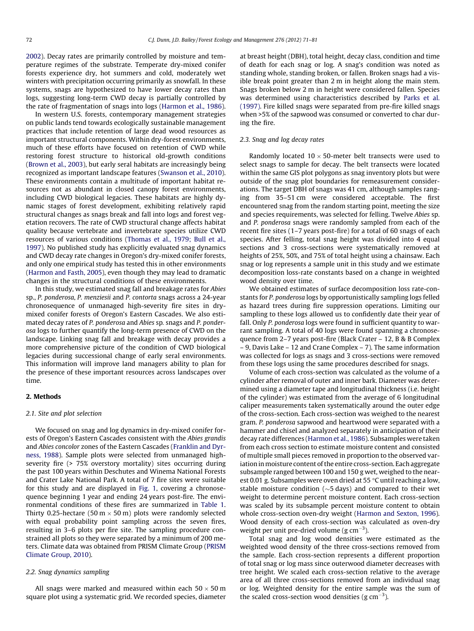[2002\)](#page-9-0). Decay rates are primarily controlled by moisture and temperature regimes of the substrate. Temperate dry-mixed conifer forests experience dry, hot summers and cold, moderately wet winters with precipitation occurring primarily as snowfall. In these systems, snags are hypothesized to have lower decay rates than logs, suggesting long-term CWD decay is partially controlled by the rate of fragmentation of snags into logs [\(Harmon et al., 1986\)](#page-9-0).

In western U.S. forests, contemporary management strategies on public lands tend towards ecologically sustainable management practices that include retention of large dead wood resources as important structural components. Within dry-forest environments, much of these efforts have focused on retention of CWD while restoring forest structure to historical old-growth conditions ([Brown et al., 2003](#page-9-0)), but early seral habitats are increasingly being recognized as important landscape features ([Swanson et al., 2010\)](#page-10-0). These environments contain a multitude of important habitat resources not as abundant in closed canopy forest environments, including CWD biological legacies. These habitats are highly dynamic stages of forest development, exhibiting relatively rapid structural changes as snags break and fall into logs and forest vegetation recovers. The rate of CWD structural change affects habitat quality because vertebrate and invertebrate species utilize CWD resources of various conditions [\(Thomas et al., 1979; Bull et al.,](#page-10-0) [1997\)](#page-10-0). No published study has explicitly evaluated snag dynamics and CWD decay rate changes in Oregon's dry-mixed conifer forests, and only one empirical study has tested this in other environments ([Harmon and Fasth, 2005](#page-9-0)), even though they may lead to dramatic changes in the structural conditions of these environments.

In this study, we estimated snag fall and breakage rates for Abies sp., P. ponderosa, P. menziesii and P. contorta snags across a 24-year chronosequence of unmanaged high-severity fire sites in drymixed conifer forests of Oregon's Eastern Cascades. We also estimated decay rates of P. ponderosa and Abies sp. snags and P. ponderosa logs to further quantify the long-term presence of CWD on the landscape. Linking snag fall and breakage with decay provides a more comprehensive picture of the condition of CWD biological legacies during successional change of early seral environments. This information will improve land managers ability to plan for the presence of these important resources across landscapes over time.

### 2. Methods

#### 2.1. Site and plot selection

We focused on snag and log dynamics in dry-mixed conifer forests of Oregon's Eastern Cascades consistent with the Abies grandis and Abies concolor zones of the Eastern Cascades ([Franklin and Dyr](#page-9-0)[ness, 1988\)](#page-9-0). Sample plots were selected from unmanaged highseverity fire (> 75% overstory mortality) sites occurring during the past 100 years within Deschutes and Winema National Forests and Crater Lake National Park. A total of 7 fire sites were suitable for this study and are displayed in [Fig. 1](#page-2-0), covering a chronosequence beginning 1 year and ending 24 years post-fire. The environmental conditions of these fires are summarized in [Table 1.](#page-2-0) Thirty 0.25-hectare (50 m  $\times$  50 m) plots were randomly selected with equal probability point sampling across the seven fires, resulting in 3–6 plots per fire site. The sampling procedure constrained all plots so they were separated by a minimum of 200 meters. Climate data was obtained from PRISM Climate Group ([PRISM](#page-10-0) [Climate Group, 2010](#page-10-0)).

#### 2.2. Snag dynamics sampling

All snags were marked and measured within each  $50 \times 50$  m square plot using a systematic grid. We recorded species, diameter at breast height (DBH), total height, decay class, condition and time of death for each snag or log. A snag's condition was noted as standing whole, standing broken, or fallen. Broken snags had a visible break point greater than 2 m in height along the main stem. Snags broken below 2 m in height were considered fallen. Species was determined using characteristics described by [Parks et al.](#page-10-0) [\(1997\).](#page-10-0) Fire killed snags were separated from pre-fire killed snags when >5% of the sapwood was consumed or converted to char during the fire.

#### 2.3. Snag and log decay rates

Randomly located  $10 \times 50$ -meter belt transects were used to select snags to sample for decay. The belt transects were located within the same GIS plot polygons as snag inventory plots but were outside of the snag plot boundaries for remeasurement considerations. The target DBH of snags was 41 cm, although samples ranging from 35–51 cm were considered acceptable. The first encountered snag from the random starting point, meeting the size and species requirements, was selected for felling. Twelve Abies sp. and P. ponderosa snags were randomly sampled from each of the recent fire sites (1–7 years post-fire) for a total of 60 snags of each species. After felling, total snag height was divided into 4 equal sections and 3 cross-sections were systematically removed at heights of 25%, 50%, and 75% of total height using a chainsaw. Each snag or log represents a sample unit in this study and we estimate decomposition loss-rate constants based on a change in weighted wood density over time.

We obtained estimates of surface decomposition loss rate-constants for P. ponderosa logs by opportunistically sampling logs felled as hazard trees during fire suppression operations. Limiting our sampling to these logs allowed us to confidently date their year of fall. Only P. ponderosa logs were found in sufficient quantity to warrant sampling. A total of 40 logs were found spanning a chronosequence from 2–7 years post-fire (Black Crater – 12, B & B Complex – 9, Davis Lake – 12 and Crane Complex – 7). The same information was collected for logs as snags and 3 cross-sections were removed from these logs using the same procedures described for snags.

Volume of each cross-section was calculated as the volume of a cylinder after removal of outer and inner bark. Diameter was determined using a diameter tape and longitudinal thickness (i.e. height of the cylinder) was estimated from the average of 6 longitudinal caliper measurements taken systematically around the outer edge of the cross-section. Each cross-section was weighed to the nearest gram. P. ponderosa sapwood and heartwood were separated with a hammer and chisel and analyzed separately in anticipation of their decay rate differences [\(Harmon et al., 1986](#page-9-0)). Subsamples were taken from each cross section to estimate moisture content and consisted of multiple small pieces removed in proportion to the observed variation in moisture content of the entire cross-section. Each aggregate subsample ranged between 100 and 150 g wet, weighed to the nearest 0.01 g. Subsamples were oven dried at 55  $\degree$ C until reaching a low, stable moisture condition ( $\sim$ 5 days) and compared to their wet weight to determine percent moisture content. Each cross-section was scaled by its subsample percent moisture content to obtain whole cross-section oven-dry weight [\(Harmon and Sexton, 1996\)](#page-9-0). Wood density of each cross-section was calculated as oven-dry weight per unit pre-dried volume (g  $cm^{-3}$ ).

Total snag and log wood densities were estimated as the weighted wood density of the three cross-sections removed from the sample. Each cross-section represents a different proportion of total snag or log mass since outerwood diameter decreases with tree height. We scaled each cross-section relative to the average area of all three cross-sections removed from an individual snag or log. Weighted density for the entire sample was the sum of the scaled cross-section wood densities ( $g \text{ cm}^{-3}$ ).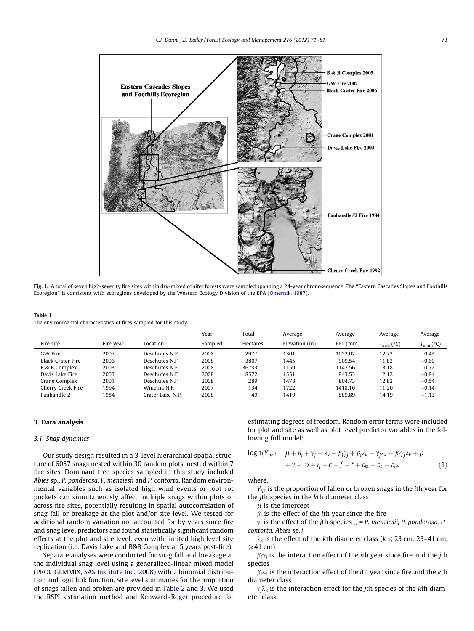<span id="page-2-0"></span>

Fig. 1. A total of seven high-severity fire sites within dry-mixed conifer forests were sampled spanning a 24-year chronosequence. The "Eastern Cascades Slopes and Foothills Ecoregion'' is consistent with ecoregions developed by the Western Ecology Division of the EPA ([Omernik, 1987](#page-10-0)).

#### Table 1 The environmental characteristics of fires sampled for this study.

|                          |           |                  | Year    | Total    | Average         | Average    | Average               | Average         |
|--------------------------|-----------|------------------|---------|----------|-----------------|------------|-----------------------|-----------------|
| Fire site                | Fire year | Location         | Sampled | Hectares | Elevation $(m)$ | $PPT$ (mm) | $T_{\text{max}}$ (°C) | $T_{\min}$ (°C) |
| <b>GW</b> Fire           | 2007      | Deschutes N.F.   | 2008    | 2977     | 1301            | 1052.07    | 12.72                 | 0.43            |
| <b>Black Crater Fire</b> | 2006      | Deschutes N.F.   | 2008    | 3807     | 1445            | 909.54     | 11.82                 | $-0.60$         |
| B & B Complex            | 2003      | Deschutes N.F.   | 2008    | 36733    | 1159            | 1147.56    | 13.18                 | 0.72            |
| Davis Lake Fire          | 2003      | Deschutes N.F.   | 2008    | 8572     | 1551            | 843.53     | 12.12                 | $-0.84$         |
| Crane Complex            | 2001      | Deschutes N.F.   | 2008    | 289      | 1478            | 804.73     | 12.82                 | $-0.54$         |
| Cherry Creek Fire        | 1994      | Winema N.F.      | 2007    | 134      | 1722            | 1418.16    | 11.20                 | $-0.14$         |
| Panhandle 2              | 1984      | Crater Lake N.P. | 2008    | 49       | 1419            | 889.89     | 14.19                 | $-1.13$         |

### 3. Data analysis

## 3.1. Snag dynamics

Our study design resulted in a 3-level hierarchical spatial structure of 6057 snags nested within 30 random plots, nested within 7 fire sites. Dominant tree species sampled in this study included Abies sp., P. ponderosa, P. menziesii and P. contorta. Random environmental variables such as isolated high wind events or root rot pockets can simultaneously affect multiple snags within plots or across fire sites, potentially resulting in spatial autocorrelation of snag fall or breakage at the plot and/or site level. We tested for additional random variation not accounted for by years since fire and snag level predictors and found statistically significant random effects at the plot and site level, even with limited high level site replication (i.e. Davis Lake and B&B Complex at 5 years post-fire).

Separate analyses were conducted for snag fall and breakage at the individual snag level using a generalized-linear mixed model (PROC GLMMIX, [SAS Institute Inc., 2008\)](#page-10-0) with a binomial distribution and logit link function. Site level summaries for the proportion of snags fallen and broken are provided in [Table 2 and 3](#page-3-0). We used the RSPL estimation method and Kenward–Roger procedure for estimating degrees of freedom. Random error terms were included for plot and site as well as plot level predictor variables in the following full model:

$$
logit(Y_{ijk}) = \mu + \beta_i + \gamma_j + \lambda_k + \beta_i \gamma_j + \beta_i \lambda_k + \gamma_j \lambda_k + \beta_i \gamma_j \lambda_k + \rho
$$
  
+  $\nu + \omega + \eta + c + f + t + \varepsilon_m + \varepsilon_{\eta} + \varepsilon_{ijk}$  (1)

where,

 $Y_{ijk}$  is the proportion of fallen or broken snags in the *i*th year for the jth species in the kth diameter class

 $\mu$  is the intercept

 $\beta_i$  is the effect of the *i*th year since the fire

 $\gamma_j$  is the effect of the jth species (j = P. menziesii, P. ponderosa, P. contorta, Abies sp.)

 $\lambda_k$  is the effect of the kth diameter class ( $k \le 23$  cm, 23–41 cm,  $\geqslant$ 41 cm)

 $\beta_i \gamma_j$  is the interaction effect of the *i*th year since fire and the *j*th species

 $\beta_i \lambda_k$  is the interaction effect of the *i*th year since fire and the *k*th diameter class

 $\gamma_i \lambda_k$  is the interaction effect for the *j*th species of the *k*th diameter class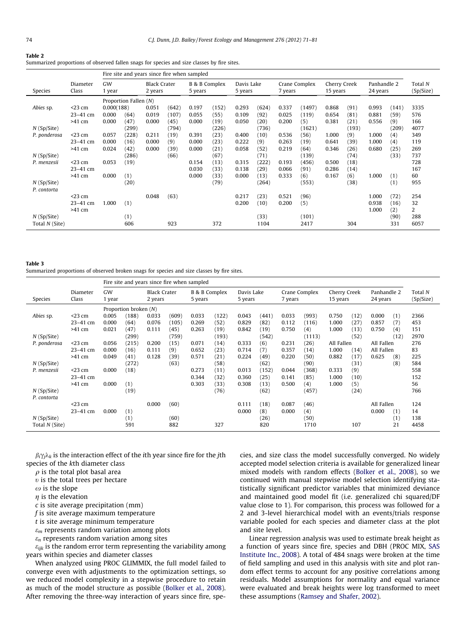#### <span id="page-3-0"></span>Table 2

|  |  | Summarized proportions of observed fallen snags for species and size classes by fire sites. |
|--|--|---------------------------------------------------------------------------------------------|
|  |  |                                                                                             |

|                |           | Fire site and years since fire when sampled |                       |                     |       |         |                          |            |       |         |               |              |       |             |       |           |
|----------------|-----------|---------------------------------------------|-----------------------|---------------------|-------|---------|--------------------------|------------|-------|---------|---------------|--------------|-------|-------------|-------|-----------|
|                | Diameter  | GW                                          |                       | <b>Black Crater</b> |       |         | <b>B &amp; B Complex</b> | Davis Lake |       |         | Crane Complex | Cherry Creek |       | Panhandle 2 |       | Total N   |
| Species        | Class     | 1 year                                      |                       | 2 years             |       | 5 years |                          | 5 years    |       | 7 years |               | 15 years     |       | 24 years    |       | (Sp/Size) |
|                |           |                                             | Proportion Fallen (N) |                     |       |         |                          |            |       |         |               |              |       |             |       |           |
| Abies sp.      | $<$ 23 cm | 0.000(188)                                  |                       | 0.051               | (642) | 0.197   | (152)                    | 0.293      | (624) | 0.337   | (1497)        | 0.868        | (91)  | 0.993       | (141) | 3335      |
|                | 23-41 cm  | 0.000                                       | (64)                  | 0.019               | (107) | 0.055   | (55)                     | 0.109      | (92)  | 0.025   | (119)         | 0.654        | (81)  | 0.881       | (59)  | 576       |
|                | $>41$ cm  | 0.000                                       | (47)                  | 0.000               | (45)  | 0.000   | (19)                     | 0.050      | (20)  | 0.200   | (5)           | 0.381        | (21)  | 0.556       | (9)   | 166       |
| N(Sp/Site)     |           |                                             | (299)                 |                     | (794) |         | (226)                    |            | (736) |         | (1621)        |              | (193) |             | (209) | 4077      |
| P. ponderosa   | $<$ 23 cm | 0.057                                       | (228)                 | 0.211               | (19)  | 0.391   | (23)                     | 0.400      | (10)  | 0.536   | (56)          | 1.000        | (9)   | 1.000       | (4)   | 349       |
|                | 23-41 cm  | 0.000                                       | (16)                  | 0.000               | (9)   | 0.000   | (23)                     | 0.222      | (9)   | 0.263   | (19)          | 0.641        | (39)  | 1.000       | (4)   | 119       |
|                | $>41$ cm  | 0.024                                       | (42)                  | 0.000               | (39)  | 0.000   | (21)                     | 0.058      | (52)  | 0.219   | (64)          | 0.346        | (26)  | 0.680       | (25)  | 269       |
| N(Sp/Site)     |           |                                             | (286)                 |                     | (66)  |         | (67)                     |            | (71)  |         | (139)         |              | (74)  |             | (33)  | 737       |
| P. menzesii    | $<$ 23 cm | 0.053                                       | (19)                  |                     |       | 0.154   | (13)                     | 0.315      | (222) | 0.193   | (456)         | 0.500        | (18)  |             |       | 728       |
|                | 23-41 cm  |                                             |                       |                     |       | 0.030   | (33)                     | 0.138      | (29)  | 0.066   | (91)          | 0.286        | (14)  |             |       | 167       |
|                | $>41$ cm  | 0.000                                       | (1)                   |                     |       | 0.000   | (33)                     | 0.000      | (13)  | 0.333   | (6)           | 0.167        | (6)   | 1.000       | (1)   | 60        |
| N(Sp/Site)     |           |                                             | (20)                  |                     |       |         | (79)                     |            | (264) |         | (553)         |              | (38)  |             | (1)   | 955       |
| P. contorta    |           |                                             |                       |                     |       |         |                          |            |       |         |               |              |       |             |       |           |
|                | $<$ 23 cm |                                             |                       | 0.048               | (63)  |         |                          | 0.217      | (23)  | 0.521   | (96)          |              |       | 1.000       | (72)  | 254       |
|                | 23-41 cm  | 1.000                                       | (1)                   |                     |       |         |                          | 0.200      | (10)  | 0.200   | (5)           |              |       | 0.938       | (16)  | 32        |
|                | $>41$ cm  |                                             |                       |                     |       |         |                          |            |       |         |               |              |       | 1.000       | (2)   | 2         |
| N(Sp/Site)     |           |                                             | (1)                   |                     |       |         |                          |            | (33)  |         | (101)         |              |       |             | (90)  | 288       |
| Total N (Site) |           |                                             | 606                   |                     | 923   |         | 372                      |            | 1104  |         | 2417          |              | 304   |             | 331   | 6057      |

#### Table 3

Summarized proportions of observed broken snags for species and size classes by fire sites.

|                |                   | Fire site and years since fire when sampled |                       |                                |       |         |                          |                       |       |         |               |                          |      |                         |      |                      |
|----------------|-------------------|---------------------------------------------|-----------------------|--------------------------------|-------|---------|--------------------------|-----------------------|-------|---------|---------------|--------------------------|------|-------------------------|------|----------------------|
| Species        | Diameter<br>Class | GW<br>1 year                                |                       | <b>Black Crater</b><br>2 years |       | 5 years | <b>B &amp; B Complex</b> | Davis Lake<br>5 years |       | 7 years | Crane Complex | Cherry Creek<br>15 years |      | Panhandle 2<br>24 years |      | Total N<br>(Sp/Size) |
|                |                   |                                             | Proportion broken (N) |                                |       |         |                          |                       |       |         |               |                          |      |                         |      |                      |
| Abies sp.      | $<$ 23 cm         | 0.005                                       | (188)                 | 0.033                          | (609) | 0.033   | (122)                    | 0.043                 | (441) | 0.033   | (993)         | 0.750                    | (12) | 0.000                   | (1)  | 2366                 |
|                | 23-41 cm          | 0.000                                       | (64)                  | 0.076                          | (105) | 0.269   | (52)                     | 0.829                 | (82)  | 0.112   | (116)         | 1.000                    | (27) | 0.857                   | (7)  | 453                  |
|                | $>41$ cm          | 0.021                                       | (47)                  | 0.111                          | (45)  | 0.263   | (19)                     | 0.842                 | (19)  | 0.750   | (4)           | 1.000                    | (13) | 0.750                   | (4)  | 151                  |
| N(Sp/Site)     |                   |                                             | (299)                 |                                | (759) |         | (193)                    |                       | (542) |         | (1113)        |                          | (52) |                         | (12) | 2970                 |
| P. ponderosa   | $<$ 23 cm         | 0.056                                       | (215)                 | 0.200                          | (15)  | 0.071   | (14)                     | 0.333                 | (6)   | 0.231   | (26)          | All Fallen               |      | All Fallen              |      | 276                  |
|                | 23-41 cm          | 0.000                                       | (16)                  | 0.111                          | (9)   | 0.652   | (23)                     | 0.714                 | (7)   | 0.357   | (14)          | 1.000                    | (14) | All Fallen              |      | 83                   |
|                | $>41$ cm          | 0.049                                       | (41)                  | 0.128                          | (39)  | 0.571   | (21)                     | 0.224                 | (49)  | 0.220   | (50)          | 0.882                    | (17) | 0.625                   | (8)  | 225                  |
| N(Sp/Site)     |                   |                                             | (272)                 |                                | (63)  |         | (58)                     |                       | (62)  |         | (90)          |                          | (31) |                         | (8)  | 584                  |
| P. menzesii    | $<$ 23 cm         | 0.000                                       | (18)                  |                                |       | 0.273   | (11)                     | 0.013                 | (152) | 0.044   | (368)         | 0.333                    | (9)  |                         |      | 558                  |
|                | $23 - 41$ cm      |                                             |                       |                                |       | 0.344   | (32)                     | 0.360                 | (25)  | 0.141   | (85)          | 1.000                    | (10) |                         |      | 152                  |
|                | $>41$ cm          | 0.000                                       | (1)                   |                                |       | 0.303   | (33)                     | 0.308                 | (13)  | 0.500   | (4)           | 1.000                    | (5)  |                         |      | 56                   |
| N(Sp/Site)     |                   |                                             | (19)                  |                                |       |         | (76)                     |                       | (62)  |         | (457)         |                          | (24) |                         |      | 766                  |
| P. contorta    |                   |                                             |                       |                                |       |         |                          |                       |       |         |               |                          |      |                         |      |                      |
|                | $<$ 23 cm         |                                             |                       | 0.000                          | (60)  |         |                          | 0.111                 | (18)  | 0.087   | (46)          |                          |      | All Fallen              |      | 124                  |
|                | 23-41 cm          | 0.000                                       | (1)                   |                                |       |         |                          | 0.000                 | (8)   | 0.000   | (4)           |                          |      | 0.000                   | (1)  | 14                   |
| N(Sp/Site)     |                   |                                             | (1)                   |                                | (60)  |         |                          |                       | (26)  |         | (50)          |                          |      |                         | (1)  | 138                  |
| Total N (Site) |                   |                                             | 591                   |                                | 882   |         | 327                      |                       | 820   |         | 1710          |                          | 107  |                         | 21   | 4458                 |

 $\beta_i \gamma_j \lambda_k$  is the interaction effect of the *i*th year since fire for the *j*th species of the kth diameter class

 $\rho$  is the total plot basal area

 $v$  is the total trees per hectare

 $\omega$  is the slope

 $\eta$  is the elevation

c is site average precipitation (mm)

 $f$  is site average maximum temperature

t is site average minimum temperature

 $\varepsilon_m$  represents random variation among plots

 $\varepsilon_n$  represents random variation among sites

 $\varepsilon_{ijk}$  is the random error term representing the variability among years within species and diameter classes

When analyzed using PROC GLIMMIX, the full model failed to converge even with adjustments to the optimization settings, so we reduced model complexity in a stepwise procedure to retain as much of the model structure as possible [\(Bolker et al., 2008\)](#page-9-0). After removing the three-way interaction of years since fire, species, and size class the model successfully converged. No widely accepted model selection criteria is available for generalized linear mixed models with random effects [\(Bolker et al., 2008](#page-9-0)), so we continued with manual stepwise model selection identifying statistically significant predictor variables that minimized deviance and maintained good model fit (i.e. generalized chi squared/DF value close to 1). For comparison, this process was followed for a 2 and 3-level hierarchical model with an events/trials response variable pooled for each species and diameter class at the plot and site level.

Linear regression analysis was used to estimate break height as a function of years since fire, species and DBH (PROC MIX, [SAS](#page-10-0) [Institute Inc., 2008](#page-10-0)). A total of 484 snags were broken at the time of field sampling and used in this analysis with site and plot random effect terms to account for any positive correlations among residuals. Model assumptions for normality and equal variance were evaluated and break heights were log transformed to meet these assumptions ([Ramsey and Shafer, 2002\)](#page-10-0).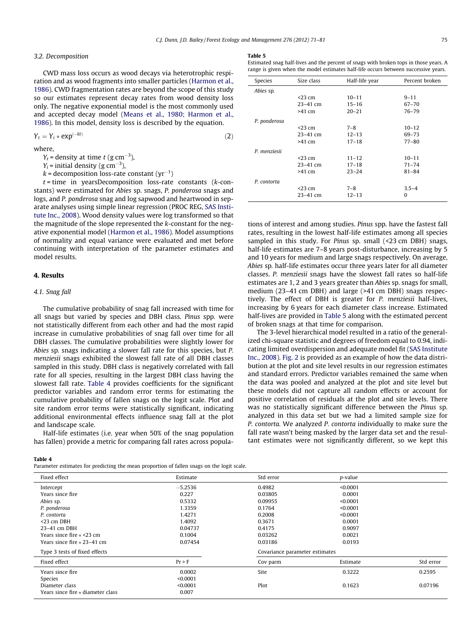#### <span id="page-4-0"></span>3.2. Decomposition

CWD mass loss occurs as wood decays via heterotrophic respiration and as wood fragments into smaller particles ([Harmon et al.,](#page-9-0) [1986\)](#page-9-0). CWD fragmentation rates are beyond the scope of this study so our estimates represent decay rates from wood density loss only. The negative exponential model is the most commonly used and accepted decay model [\(Means et al., 1980; Harmon et al.,](#page-10-0) [1986\)](#page-10-0). In this model, density loss is described by the equation.

$$
Y_t = Y_i * \exp^{(-kt)} \tag{2}
$$

where,

 $Y_t$  = density at time t (g cm<sup>-3</sup>),

- $Y_i$  = initial density (g cm<sup>-3</sup>),
- $k$  = decomposition loss-rate constant  $(\mathrm{yr}^{-1})$

 $t =$  time in yearsDecomposition loss-rate constants ( $k$ -constants) were estimated for Abies sp. snags, P. ponderosa snags and logs, and P. ponderosa snag and log sapwood and heartwood in separate analyses using simple linear regression (PROC REG, [SAS Insti](#page-10-0)[tute Inc., 2008](#page-10-0)). Wood density values were log transformed so that the magnitude of the slope represented the k-constant for the negative exponential model ([Harmon et al., 1986\)](#page-9-0). Model assumptions of normality and equal variance were evaluated and met before continuing with interpretation of the parameter estimates and model results.

#### 4. Results

### 4.1. Snag fall

The cumulative probability of snag fall increased with time for all snags but varied by species and DBH class. Pinus spp. were not statistically different from each other and had the most rapid increase in cumulative probabilities of snag fall over time for all DBH classes. The cumulative probabilities were slightly lower for Abies sp. snags indicating a slower fall rate for this species, but P. menziesii snags exhibited the slowest fall rate of all DBH classes sampled in this study. DBH class is negatively correlated with fall rate for all species, resulting in the largest DBH class having the slowest fall rate. Table 4 provides coefficients for the significant predictor variables and random error terms for estimating the cumulative probability of fallen snags on the logit scale. Plot and site random error terms were statistically significant, indicating additional environmental effects influence snag fall at the plot and landscape scale.

Half-life estimates (i.e. year when 50% of the snag population has fallen) provide a metric for comparing fall rates across popula-

#### Table 4

Parameter estimates for predicting the mean proportion of fallen snags on the logit scale.

#### Table 5

Estimated snag half-lives and the percent of snags with broken tops in those years. A range is given when the model estimates half-life occurs between successive years.

| Species      | Size class   | Half-life year | Percent broken |
|--------------|--------------|----------------|----------------|
| Abies sp.    |              |                |                |
|              | $<$ 23 cm    | $10 - 11$      | $9 - 11$       |
|              | $23 - 41$ cm | $15 - 16$      | $67 - 70$      |
|              | $>41$ cm     | $20 - 21$      | $76 - 79$      |
| P. ponderosa |              |                |                |
|              | $<$ 23 cm    | $7 - 8$        | $10 - 12$      |
|              | $23 - 41$ cm | $12 - 13$      | $69 - 73$      |
|              | $>41$ cm     | $17 - 18$      | $77 - 80$      |
| P. menziesii |              |                |                |
|              | $<$ 23 cm    | $11 - 12$      | $10 - 11$      |
|              | $23 - 41$ cm | $17 - 18$      | $71 - 74$      |
|              | $>41$ cm     | $23 - 24$      | $81 - 84$      |
| P. contorta  |              |                |                |
|              | $<$ 23 cm    | 7–8            | $3.5 - 4$      |
|              | $23 - 41$ cm | $12 - 13$      | 0              |

tions of interest and among studies. Pinus spp. have the fastest fall rates, resulting in the lowest half-life estimates among all species sampled in this study. For Pinus sp. small (<23 cm DBH) snags, half-life estimates are 7-8 years post-disturbance, increasing by 5 and 10 years for medium and large snags respectively. On average, Abies sp. half-life estimates occur three years later for all diameter classes. P. menziesii snags have the slowest fall rates so half-life estimates are 1, 2 and 3 years greater than Abies sp. snags for small, medium (23–41 cm DBH) and large (>41 cm DBH) snags respectively. The effect of DBH is greater for P. menziesii half-lives, increasing by 6 years for each diameter class increase. Estimated half-lives are provided in Table 5 along with the estimated percent of broken snags at that time for comparison.

The 3-level hierarchical model resulted in a ratio of the generalized chi-square statistic and degrees of freedom equal to 0.94, indicating limited overdispersion and adequate model fit ([SAS Institute](#page-10-0) [Inc., 2008\)](#page-10-0). [Fig. 2](#page-5-0) is provided as an example of how the data distribution at the plot and site level results in our regression estimates and standard errors. Predictor variables remained the same when the data was pooled and analyzed at the plot and site level but these models did not capture all random effects or account for positive correlation of residuals at the plot and site levels. There was no statistically significant difference between the Pinus sp. analyzed in this data set but we had a limited sample size for P. contorta. We analyzed P. contorta individually to make sure the fall rate wasn't being masked by the larger data set and the resultant estimates were not significantly different, so we kept this

| Fixed effect                      | Estimate  | Std error                      | <i>p</i> -value |           |
|-----------------------------------|-----------|--------------------------------|-----------------|-----------|
| Intercept                         | $-5.2536$ | 0.4982                         | < 0.0001        |           |
| Years since fire                  | 0.227     | 0.03805                        | 0.0001          |           |
| Abies sp.                         | 0.5332    | 0.09955                        | < 0.0001        |           |
| P. ponderosa                      | 1.3359    | 0.1764                         | < 0.0001        |           |
| P. contorta                       | 1.4271    | 0.2008                         | < 0.0001        |           |
| <23 cm DBH                        | 1.4092    | 0.3671                         | 0.0001          |           |
| $23-41$ cm DBH                    | 0.04737   | 0.4175                         | 0.9097          |           |
| Years since fire $* < 23$ cm      | 0.1004    | 0.03262                        | 0.0021          |           |
| Years since fire $* 23-41$ cm     | 0.07454   | 0.03186                        | 0.0193          |           |
| Type 3 tests of fixed effects     |           | Covariance parameter estimates |                 |           |
| Fixed effect                      | Pr > F    | Cov parm                       | Estimate        | Std error |
| Years since fire                  | 0.0002    | Site                           | 0.3222          | 0.2595    |
| Species                           | < 0.0001  |                                |                 |           |
| Diameter class                    | < 0.0001  | Plot                           | 0.1623          | 0.07196   |
| Years since fire * diameter class | 0.007     |                                |                 |           |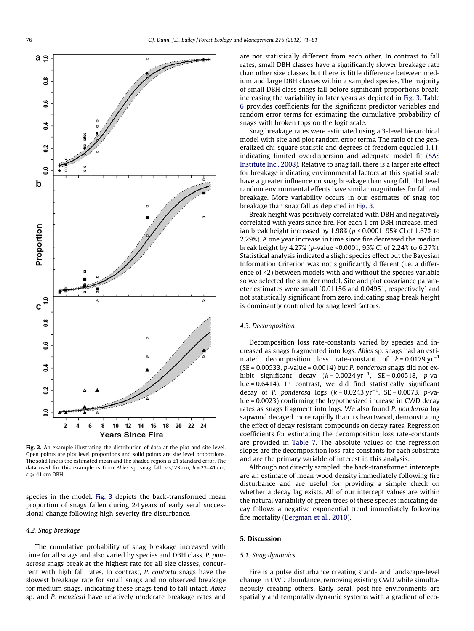<span id="page-5-0"></span>

Fig. 2. An example illustrating the distribution of data at the plot and site level. Open points are plot level proportions and solid points are site level proportions. The solid line is the estimated mean and the shaded region is ±1 standard error. The data used for this example is from Abies sp. snag fall.  $a \le 23$  cm,  $b = 23-41$  cm,  $c \ge 41$  cm DBH.

species in the model. [Fig. 3](#page-6-0) depicts the back-transformed mean proportion of snags fallen during 24 years of early seral successional change following high-severity fire disturbance.

## 4.2. Snag breakage

The cumulative probability of snag breakage increased with time for all snags and also varied by species and DBH class. P. ponderosa snags break at the highest rate for all size classes, concurrent with high fall rates. In contrast, P. contorta snags have the slowest breakage rate for small snags and no observed breakage for medium snags, indicating these snags tend to fall intact. Abies sp. and P. menziesii have relatively moderate breakage rates and are not statistically different from each other. In contrast to fall rates, small DBH classes have a significantly slower breakage rate than other size classes but there is little difference between medium and large DBH classes within a sampled species. The majority of small DBH class snags fall before significant proportions break, increasing the variability in later years as depicted in [Fig. 3.](#page-6-0) [Table](#page-7-0) [6](#page-7-0) provides coefficients for the significant predictor variables and random error terms for estimating the cumulative probability of snags with broken tops on the logit scale.

Snag breakage rates were estimated using a 3-level hierarchical model with site and plot random error terms. The ratio of the generalized chi-square statistic and degrees of freedom equaled 1.11, indicating limited overdispersion and adequate model fit ([SAS](#page-10-0) [Institute Inc., 2008\)](#page-10-0). Relative to snag fall, there is a larger site effect for breakage indicating environmental factors at this spatial scale have a greater influence on snag breakage than snag fall. Plot level random environmental effects have similar magnitudes for fall and breakage. More variability occurs in our estimates of snag top breakage than snag fall as depicted in [Fig. 3.](#page-6-0)

Break height was positively correlated with DBH and negatively correlated with years since fire. For each 1 cm DBH increase, median break height increased by  $1.98\%$  ( $p < 0.0001$ , 95% CI of 1.67% to 2.29%). A one year increase in time since fire decreased the median break height by 4.27% (p-value <0.0001, 95% CI of 2.24% to 6.27%). Statistical analysis indicated a slight species effect but the Bayesian Information Criterion was not significantly different (i.e. a difference of <2) between models with and without the species variable so we selected the simpler model. Site and plot covariance parameter estimates were small (0.01156 and 0.04951, respectively) and not statistically significant from zero, indicating snag break height is dominantly controlled by snag level factors.

### 4.3. Decomposition

Decomposition loss rate-constants varied by species and increased as snags fragmented into logs. Abies sp. snags had an estimated decomposition loss rate-constant of  $k = 0.0179 \text{ yr}^{-1}$  $(SE = 0.00533, p-value = 0.0014)$  but *P. ponderosa* snags did not exhibit significant decay  $(k = 0.0024 \text{ yr}^{-1}$ , SE = 0.00518, p-value = 0.6414). In contrast, we did find statistically significant decay of *P.* ponderosa  $\log s$  ( $k = 0.0243$  yr<sup>-1</sup>, SE = 0.0073, p-value = 0.0023) confirming the hypothesized increase in CWD decay rates as snags fragment into logs. We also found P. ponderosa log sapwood decayed more rapidly than its heartwood, demonstrating the effect of decay resistant compounds on decay rates. Regression coefficients for estimating the decomposition loss rate-constants are provided in [Table 7.](#page-7-0) The absolute values of the regression slopes are the decomposition loss-rate constants for each substrate and are the primary variable of interest in this analysis.

Although not directly sampled, the back-transformed intercepts are an estimate of mean wood density immediately following fire disturbance and are useful for providing a simple check on whether a decay lag exists. All of our intercept values are within the natural variability of green trees of these species indicating decay follows a negative exponential trend immediately following fire mortality [\(Bergman et al., 2010](#page-9-0)).

#### 5. Discussion

#### 5.1. Snag dynamics

Fire is a pulse disturbance creating stand- and landscape-level change in CWD abundance, removing existing CWD while simultaneously creating others. Early seral, post-fire environments are spatially and temporally dynamic systems with a gradient of eco-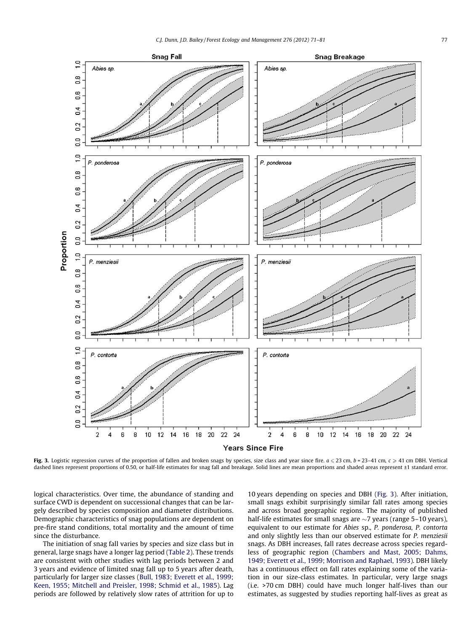<span id="page-6-0"></span>

Fig. 3. Logistic regression curves of the proportion of fallen and broken snags by species, size class and year since fire.  $a \le 23$  cm,  $b = 23-41$  cm,  $c \ge 41$  cm DBH. Vertical dashed lines represent proportions of 0.50, or half-life estimates for snag fall and breakage. Solid lines are mean proportions and shaded areas represent ±1 standard error.

logical characteristics. Over time, the abundance of standing and surface CWD is dependent on successional changes that can be largely described by species composition and diameter distributions. Demographic characteristics of snag populations are dependent on pre-fire stand conditions, total mortality and the amount of time since the disturbance.

The initiation of snag fall varies by species and size class but in general, large snags have a longer lag period ([Table 2](#page-3-0)). These trends are consistent with other studies with lag periods between 2 and 3 years and evidence of limited snag fall up to 5 years after death, particularly for larger size classes [\(Bull, 1983; Everett et al., 1999;](#page-9-0) [Keen, 1955; Mitchell and Preisler, 1998; Schmid et al., 1985](#page-9-0)). Lag periods are followed by relatively slow rates of attrition for up to

10 years depending on species and DBH (Fig. 3). After initiation, small snags exhibit surprisingly similar fall rates among species and across broad geographic regions. The majority of published half-life estimates for small snags are  $\sim$ 7 years (range 5–10 years), equivalent to our estimate for Abies sp., P. ponderosa, P. contorta and only slightly less than our observed estimate for P. menziesii snags. As DBH increases, fall rates decrease across species regardless of geographic region ([Chambers and Mast, 2005; Dahms,](#page-9-0) [1949; Everett et al., 1999; Morrison and Raphael, 1993\)](#page-9-0). DBH likely has a continuous effect on fall rates explaining some of the variation in our size-class estimates. In particular, very large snags (i.e. >70 cm DBH) could have much longer half-lives than our estimates, as suggested by studies reporting half-lives as great as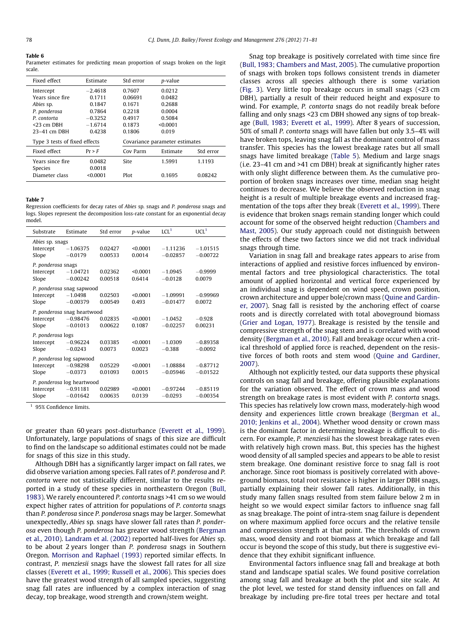#### <span id="page-7-0"></span>Table 6

Parameter estimates for predicting mean proportion of snags broken on the logit scale.

| Fixed effect                  | Estimate  | Std error | p-value                        |           |  |  |  |
|-------------------------------|-----------|-----------|--------------------------------|-----------|--|--|--|
| Intercept                     | $-2.4618$ | 0.7607    | 0.0212                         |           |  |  |  |
| Years since fire              | 0.1711    | 0.06691   | 0.0482                         |           |  |  |  |
| Abies sp.                     | 0.1847    | 0.1671    | 0.2688                         |           |  |  |  |
| P. ponderosa                  | 0.7864    | 0.2218    | 0.0004                         |           |  |  |  |
| P. contorta                   | $-0.3252$ | 0.4917    | 0.5084                         |           |  |  |  |
| <23 cm DBH                    | $-1.6714$ | 0.1873    | < 0.0001                       |           |  |  |  |
| 23-41 cm DBH                  | 0.4238    | 0.1806    | 0.019                          |           |  |  |  |
| Type 3 tests of fixed effects |           |           | Covariance parameter estimates |           |  |  |  |
| Fixed effect                  | Pr > F    | Cov Parm  | Estimate                       | Std error |  |  |  |
| Years since fire              | 0.0482    | Site      | 1.5991                         | 1.1193    |  |  |  |
| Species                       | 0.0018    |           |                                |           |  |  |  |
| Diameter class                | < 0.0001  | Plot      | 0.1695                         | 0.08242   |  |  |  |
|                               |           |           |                                |           |  |  |  |

#### Table 7

Regression coefficients for decay rates of Abies sp. snags and P. ponderosa snags and logs. Slopes represent the decomposition loss-rate constant for an exponential decay model.

| Substrate                                | Estimate                                                | Std error          | p-value            | LCL <sup>1</sup>         | UCL <sup>1</sup>         |
|------------------------------------------|---------------------------------------------------------|--------------------|--------------------|--------------------------|--------------------------|
| Abies sp. snags<br>Intercept<br>Slope    | $-1.06375$<br>$-0.0179$                                 | 0.02427<br>0.00533 | < 0.0001<br>0.0014 | $-1.11236$<br>$-0.02857$ | $-1.01515$<br>$-0.00722$ |
| P. ponderosa snags<br>Intercept<br>Slope | $-1.04721$<br>$-0.00242$                                | 0.02362<br>0.00518 | < 0.0001<br>0.6414 | $-1.0945$<br>$-0.0128$   | $-0.9999$<br>0.0079      |
| Intercept<br>Slope                       | P. ponderosa snag sapwood<br>$-1.0498$<br>$-0.00379$    | 0.02503<br>0.00549 | < 0.0001<br>0.493  | $-1.09991$<br>$-0.01477$ | $-0.99969$<br>0.0072     |
| Intercept<br>Slope                       | P. ponderosa snag heartwood<br>$-0.98476$<br>$-0.01013$ | 0.02835<br>0.00622 | < 0.0001<br>0.1087 | $-1.0452$<br>$-0.02257$  | $-0.928$<br>0.00231      |
| P. ponderosa logs<br>Intercept<br>Slope  | $-0.96224$<br>$-0.0243$                                 | 0.03385<br>0.0073  | < 0.0001<br>0.0023 | $-1.0309$<br>$-0.388$    | $-0.89358$<br>$-0.0092$  |
| Intercept<br>Slope                       | P. ponderosa log sapwood<br>$-0.98298$<br>$-0.0373$     | 0.05229<br>0.01093 | < 0.0001<br>0.0015 | $-1.08884$<br>$-0.05946$ | $-0.87712$<br>$-0.01522$ |
| Intercept<br>Slope                       | P. ponderosa log heartwood<br>$-0.91181$<br>$-0.01642$  | 0.02989<br>0.00635 | < 0.0001<br>0.0139 | $-0.97244$<br>$-0.0293$  | $-0.85119$<br>$-0.00354$ |

95% Confidence limits.

or greater than 60 years post-disturbance ([Everett et al., 1999\)](#page-9-0). Unfortunately, large populations of snags of this size are difficult to find on the landscape so additional estimates could not be made for snags of this size in this study.

Although DBH has a significantly larger impact on fall rates, we did observe variation among species. Fall rates of P. ponderosa and P. contorta were not statistically different, similar to the results reported in a study of these species in northeastern Oregon [\(Bull,](#page-9-0) [1983\)](#page-9-0). We rarely encountered P. contorta snags >41 cm so we would expect higher rates of attrition for populations of P. contorta snags than P. ponderosa since P. ponderosa snags may be larger. Somewhat unexpectedly, Abies sp. snags have slower fall rates than P. ponderosa even though P. ponderosa has greater wood strength [\(Bergman](#page-9-0) [et al., 2010](#page-9-0)). [Landram et al. \(2002\)](#page-10-0) reported half-lives for Abies sp. to be about 2 years longer than P. ponderosa snags in Southern Oregon. [Morrison and Raphael \(1993\)](#page-10-0) reported similar effects. In contrast, P. menziesii snags have the slowest fall rates for all size classes [\(Everett et al., 1999; Russell et al., 2006](#page-9-0)). This species does have the greatest wood strength of all sampled species, suggesting snag fall rates are influenced by a complex interaction of snag decay, top breakage, wood strength and crown/stem weight.

Snag top breakage is positively correlated with time since fire ([Bull, 1983; Chambers and Mast, 2005\)](#page-9-0). The cumulative proportion of snags with broken tops follows consistent trends in diameter classes across all species although there is some variation ([Fig. 3](#page-6-0)). Very little top breakage occurs in small snags (<23 cm DBH), partially a result of their reduced height and exposure to wind. For example, P. contorta snags do not readily break before falling and only snags <23 cm DBH showed any signs of top breakage [\(Bull, 1983; Everett et al., 1999\)](#page-9-0). After 8 years of succession, 50% of small P. contorta snags will have fallen but only 3.5–4% will have broken tops, leaving snag fall as the dominant control of mass transfer. This species has the lowest breakage rates but all small snags have limited breakage [\(Table 5\)](#page-4-0). Medium and large snags (i.e. 23–41 cm and >41 cm DBH) break at significantly higher rates with only slight difference between them. As the cumulative proportion of broken snags increases over time, median snag height continues to decrease. We believe the observed reduction in snag height is a result of multiple breakage events and increased fragmentation of the tops after they break ([Everett et al., 1999\)](#page-9-0). There is evidence that broken snags remain standing longer which could account for some of the observed height reduction ([Chambers and](#page-9-0) [Mast, 2005\)](#page-9-0). Our study approach could not distinguish between the effects of these two factors since we did not track individual snags through time.

Variation in snag fall and breakage rates appears to arise from interactions of applied and resistive forces influenced by environmental factors and tree physiological characteristics. The total amount of applied horizontal and vertical force experienced by an individual snag is dependent on wind speed, crown position, crown architecture and upper bole/crown mass ([Quine and Gardin](#page-10-0)[er, 2007\)](#page-10-0). Snag fall is resisted by the anchoring effect of coarse roots and is directly correlated with total aboveground biomass ([Grier and Logan, 1977](#page-9-0)). Breakage is resisted by the tensile and compressive strength of the snag stem and is correlated with wood density [\(Bergman et al., 2010\)](#page-9-0). Fall and breakage occur when a critical threshold of applied force is reached, dependent on the resistive forces of both roots and stem wood ([Quine and Gardiner,](#page-10-0) [2007\)](#page-10-0).

Although not explicitly tested, our data supports these physical controls on snag fall and breakage, offering plausible explanations for the variation observed. The effect of crown mass and wood strength on breakage rates is most evident with P. contorta snags. This species has relatively low crown mass, moderately-high wood density and experiences little crown breakage ([Bergman et al.,](#page-9-0) [2010; Jenkins et al., 2004\)](#page-9-0). Whether wood density or crown mass is the dominant factor in determining breakage is difficult to discern. For example, P. menziesii has the slowest breakage rates even with relatively high crown mass. But, this species has the highest wood density of all sampled species and appears to be able to resist stem breakage. One dominant resistive force to snag fall is root anchorage. Since root biomass is positively correlated with aboveground biomass, total root resistance is higher in larger DBH snags, partially explaining their slower fall rates. Additionally, in this study many fallen snags resulted from stem failure below 2 m in height so we would expect similar factors to influence snag fall as snag breakage. The point of intra-stem snag failure is dependent on where maximum applied force occurs and the relative tensile and compression strength at that point. The thresholds of crown mass, wood density and root biomass at which breakage and fall occur is beyond the scope of this study, but there is suggestive evidence that they exhibit significant influence.

Environmental factors influence snag fall and breakage at both stand and landscape spatial scales. We found positive correlation among snag fall and breakage at both the plot and site scale. At the plot level, we tested for stand density influences on fall and breakage by including pre-fire total trees per hectare and total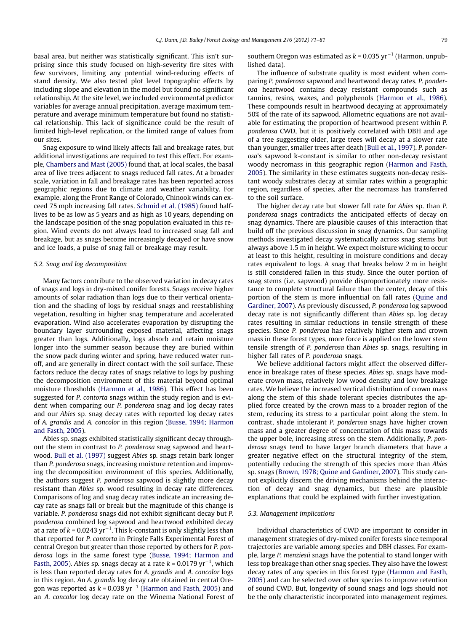basal area, but neither was statistically significant. This isn't surprising since this study focused on high-severity fire sites with few survivors, limiting any potential wind-reducing effects of stand density. We also tested plot level topographic effects by including slope and elevation in the model but found no significant relationship. At the site level, we included environmental predictor variables for average annual precipitation, average maximum temperature and average minimum temperature but found no statistical relationship. This lack of significance could be the result of limited high-level replication, or the limited range of values from our sites.

Snag exposure to wind likely affects fall and breakage rates, but additional investigations are required to test this effect. For example, [Chambers and Mast \(2005\)](#page-9-0) found that, at local scales, the basal area of live trees adjacent to snags reduced fall rates. At a broader scale, variation in fall and breakage rates has been reported across geographic regions due to climate and weather variability. For example, along the Front Range of Colorado, Chinook winds can exceed 75 mph increasing fall rates. [Schmid et al. \(1985\)](#page-10-0) found halflives to be as low as 5 years and as high as 10 years, depending on the landscape position of the snag population evaluated in this region. Wind events do not always lead to increased snag fall and breakage, but as snags become increasingly decayed or have snow and ice loads, a pulse of snag fall or breakage may result.

#### 5.2. Snag and log decomposition

Many factors contribute to the observed variation in decay rates of snags and logs in dry-mixed conifer forests. Snags receive higher amounts of solar radiation than logs due to their vertical orientation and the shading of logs by residual snags and reestablishing vegetation, resulting in higher snag temperature and accelerated evaporation. Wind also accelerates evaporation by disrupting the boundary layer surrounding exposed material, affecting snags greater than logs. Additionally, logs absorb and retain moisture longer into the summer season because they are buried within the snow pack during winter and spring, have reduced water runoff, and are generally in direct contact with the soil surface. These factors reduce the decay rates of snags relative to logs by pushing the decomposition environment of this material beyond optimal moisture thresholds ([Harmon et al., 1986\)](#page-9-0). This effect has been suggested for P. contorta snags within the study region and is evident when comparing our P. ponderosa snag and log decay rates and our Abies sp. snag decay rates with reported log decay rates of A. grandis and A. concolor in this region [\(Busse, 1994; Harmon](#page-9-0) [and Fasth, 2005\)](#page-9-0).

Abies sp. snags exhibited statistically significant decay throughout the stem in contrast to P. ponderosa snag sapwood and heartwood. [Bull et al. \(1997\)](#page-9-0) suggest Abies sp. snags retain bark longer than P. ponderosa snags, increasing moisture retention and improving the decomposition environment of this species. Additionally, the authors suggest P. ponderosa sapwood is slightly more decay resistant than Abies sp. wood resulting in decay rate differences. Comparisons of log and snag decay rates indicate an increasing decay rate as snags fall or break but the magnitude of this change is variable. P. ponderosa snags did not exhibit significant decay but P. ponderosa combined log sapwood and heartwood exhibited decay at a rate of  $k$  = 0.0243 yr<sup>-1</sup>. This k-constant is only slightly less than that reported for P. contorta in Pringle Falls Experimental Forest of central Oregon but greater than those reported by others for P. ponderosa logs in the same forest type [\(Busse, 1994; Harmon and](#page-9-0) [Fasth, 2005\)](#page-9-0). Abies sp. snags decay at a rate  $k$  = 0.0179 yr $^{-1}$ , which is less than reported decay rates for A. grandis and A. concolor logs in this region. An A. grandis log decay rate obtained in central Oregon was reported as  $k$  = 0.038 yr $^{-1}$  ([Harmon and Fasth, 2005\)](#page-9-0) and an A. concolor log decay rate on the Winema National Forest of

southern Oregon was estimated as  $k$  = 0.035  $\rm{yr}^{-1}$  (Harmon, unpublished data).

The influence of substrate quality is most evident when comparing P. ponderosa sapwood and heartwood decay rates. P. ponderosa heartwood contains decay resistant compounds such as tannins, resins, waxes, and polyphenols ([Harmon et al., 1986\)](#page-9-0). These compounds result in heartwood decaying at approximately 50% of the rate of its sapwood. Allometric equations are not available for estimating the proportion of heartwood present within P. ponderosa CWD, but it is positively correlated with DBH and age of a tree suggesting older, large trees will decay at a slower rate than younger, smaller trees after death ([Bull et al., 1997](#page-9-0)). P. ponderosa's sapwood k-constant is similar to other non-decay resistant woody necromass in this geographic region ([Harmon and Fasth,](#page-9-0) [2005](#page-9-0)). The similarity in these estimates suggests non-decay resistant woody substrates decay at similar rates within a geographic region, regardless of species, after the necromass has transferred to the soil surface.

The higher decay rate but slower fall rate for Abies sp. than P. ponderosa snags contradicts the anticipated effects of decay on snag dynamics. There are plausible causes of this interaction that build off the previous discussion in snag dynamics. Our sampling methods investigated decay systematically across snag stems but always above 1.5 m in height. We expect moisture wicking to occur at least to this height, resulting in moisture conditions and decay rates equivalent to logs. A snag that breaks below 2 m in height is still considered fallen in this study. Since the outer portion of snag stems (i.e. sapwood) provide disproportionately more resistance to complete structural failure than the center, decay of this portion of the stem is more influential on fall rates [\(Quine and](#page-10-0) [Gardiner, 2007\)](#page-10-0). As previously discussed, P. ponderosa log sapwood decay rate is not significantly different than Abies sp. log decay rates resulting in similar reductions in tensile strength of these species. Since P. ponderosa has relatively higher stem and crown mass in these forest types, more force is applied on the lower stem tensile strength of P. ponderosa than Abies sp. snags, resulting in higher fall rates of P. ponderosa snags.

We believe additional factors might affect the observed difference in breakage rates of these species. Abies sp. snags have moderate crown mass, relatively low wood density and low breakage rates. We believe the increased vertical distribution of crown mass along the stem of this shade tolerant species distributes the applied force created by the crown mass to a broader region of the stem, reducing its stress to a particular point along the stem. In contrast, shade intolerant P. ponderosa snags have higher crown mass and a greater degree of concentration of this mass towards the upper bole, increasing stress on the stem. Additionally, P. ponderosa snags tend to have larger branch diameters that have a greater negative effect on the structural integrity of the stem, potentially reducing the strength of this species more than Abies sp. snags ([Brown, 1978; Quine and Gardiner, 2007\)](#page-9-0). This study cannot explicitly discern the driving mechanisms behind the interaction of decay and snag dynamics, but these are plausible explanations that could be explained with further investigation.

## 5.3. Management implications

Individual characteristics of CWD are important to consider in management strategies of dry-mixed conifer forests since temporal trajectories are variable among species and DBH classes. For example, large P. menziesii snags have the potential to stand longer with less top breakage than other snag species. They also have the lowest decay rates of any species in this forest type ([Harmon and Fasth,](#page-9-0) [2005](#page-9-0)) and can be selected over other species to improve retention of sound CWD. But, longevity of sound snags and logs should not be the only characteristic incorporated into management regimes.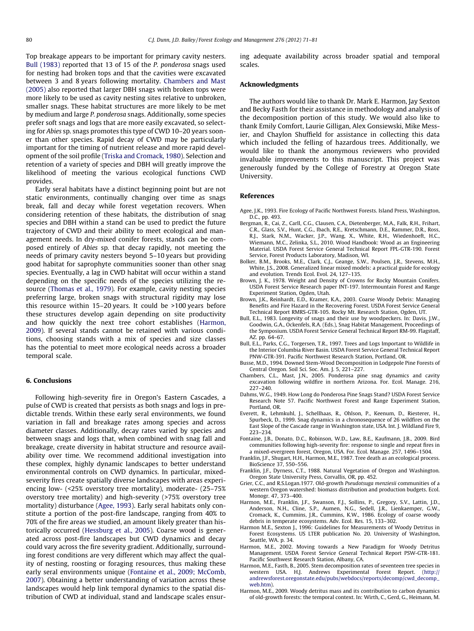<span id="page-9-0"></span>Top breakage appears to be important for primary cavity nesters. Bull (1983) reported that 13 of 15 of the P. ponderosa snags used for nesting had broken tops and that the cavities were excavated between 3 and 8 years following mortality. Chambers and Mast (2005) also reported that larger DBH snags with broken tops were more likely to be used as cavity nesting sites relative to unbroken, smaller snags. These habitat structures are more likely to be met by medium and large P. ponderosa snags. Additionally, some species prefer soft snags and logs that are more easily excavated, so selecting for Abies sp. snags promotes this type of CWD 10–20 years sooner than other species. Rapid decay of CWD may be particularly important for the timing of nutrient release and more rapid development of the soil profile [\(Triska and Cromack, 1980](#page-10-0)). Selection and retention of a variety of species and DBH will greatly improve the likelihood of meeting the various ecological functions CWD provides.

Early seral habitats have a distinct beginning point but are not static environments, continually changing over time as snags break, fall and decay while forest vegetation recovers. When considering retention of these habitats, the distribution of snag species and DBH within a stand can be used to predict the future trajectory of CWD and their ability to meet ecological and management needs. In dry-mixed conifer forests, stands can be composed entirely of Abies sp. that decay rapidly, not meeting the needs of primary cavity nesters beyond 5–10 years but providing good habitat for saprophyte communities sooner than other snag species. Eventually, a lag in CWD habitat will occur within a stand depending on the specific needs of the species utilizing the resource ([Thomas et al., 1979\)](#page-10-0). For example, cavity nesting species preferring large, broken snags with structural rigidity may lose this resource within 15–20 years. It could be >100 years before these structures develop again depending on site productivity and how quickly the next tree cohort establishes (Harmon, 2009). If several stands cannot be retained with various conditions, choosing stands with a mix of species and size classes has the potential to meet more ecological needs across a broader temporal scale.

#### 6. Conclusions

Following high-severity fire in Oregon's Eastern Cascades, a pulse of CWD is created that persists as both snags and logs in predictable trends. Within these early seral environments, we found variation in fall and breakage rates among species and across diameter classes. Additionally, decay rates varied by species and between snags and logs that, when combined with snag fall and breakage, create diversity in habitat structure and resource availability over time. We recommend additional investigation into these complex, highly dynamic landscapes to better understand environmental controls on CWD dynamics. In particular, mixedseverity fires create spatially diverse landscapes with areas experiencing low- (<25% overstory tree mortality), moderate- (25–75% overstory tree mortality) and high-severity (>75% overstory tree mortality) disturbance (Agee, 1993). Early seral habitats only constitute a portion of the post-fire landscape, ranging from 40% to 70% of the fire areas we studied, an amount likely greater than historically occurred ([Hessburg et al., 2005\)](#page-10-0). Coarse wood is generated across post-fire landscapes but CWD dynamics and decay could vary across the fire severity gradient. Additionally, surrounding forest conditions are very different which may affect the quality of nesting, roosting or foraging resources, thus making these early seral environments unique (Fontaine et al., 2009; McComb, 2007). Obtaining a better understanding of variation across these landscapes would help link temporal dynamics to the spatial distribution of CWD at individual, stand and landscape scales ensuring adequate availability across broader spatial and temporal scales.

### Acknowledgments

The authors would like to thank Dr. Mark E. Harmon, Jay Sexton and Becky Fasth for their assistance in methodology and analysis of the decomposition portion of this study. We would also like to thank Emily Comfort, Laurie Gilligan, Alex Gonsiewski, Mike Messier, and Chaylon Shuffield for assistance in collecting this data which included the felling of hazardous trees. Additionally, we would like to thank the anonymous reviewers who provided invaluable improvements to this manuscript. This project was generously funded by the College of Forestry at Oregon State University.

## References

- Agee, J.K., 1993. Fire Ecology of Pacific Northwest Forests. Island Press, Washington, D.C., pp. 493.
- Bergman, R., Cai, Z., Carll, C.G., Clausen, C.A., Dietenberger, M.A., Falk, R.H., Frihart, C.R., Glass, S.V., Hunt, C.G., Ibach, R.E., Kretschmann, D.E., Rammer, D.R., Ross, R.J., Stark, N.M., Wacker, J.P., Wang, X., White, R.H., Wiedenhoeft, H.C., Wiemann, M.C., Zelinka, S.L., 2010. Wood Handbook: Wood as an Engineering Material. USDA Forest Service General Technical Report FPL-GTR-190. Forest Service, Forest Products Laboratory, Madison, WI.
- Bolker, B.M., Brooks, M.E., Clark, C.J., Geange, S.W., Poulsen, J.R., Stevens, M.H., White, J.S., 2008. Generalized linear mixed models: a practical guide for ecology and evolution. Trends Ecol. Evol. 24, 127–135.
- Brown, J. K., 1978. Weight and Density of Crowns for Rocky Mountain Conifers. USDA Forest Service Research paper INT-197. Intermountain Forest and Range Experiment Station, Ogden, Utah.
- Brown, J.K., Reinhardt, E.D., Kramer, K.A., 2003. Coarse Woody Debris: Managing Benefits and Fire Hazard in the Recovering Forest. USDA Forest Service General Technical Report RMRS-GTR-105. Rocky Mt. Research Station, Ogden, UT.
- Bull, E.L., 1983. Longevity of snags and their use by woodpeckers. In: Davis, J.W., Goodwin, G.A., Ockenfels, R.A. (Eds.), Snag Habitat Management, Proceedings of the Symposium. USDA Forest Service General Technical Report RM-99. Flagstaff, AZ. pp. 64–67.
- Bull, E.L., Parks, C.G., Torgersen, T.R., 1997. Trees and Logs Important to Wildlife in the Interior Columbia River Basin. USDA Forest Service General Technical Report PNW-GTR-391. Pacific Northwest Research Station, Portland, OR.
- Busse, M.D., 1994. Downed Stem-Wood Decomposition in Lodgepole Pine Forests of Central Oregon. Soil Sci. Soc. Am. J. 5, 221–227.
- Chambers, C.L., Mast, J.N., 2005. Ponderosa pine snag dynamics and cavity excavation following wildfire in northern Arizona. For. Ecol. Manage. 216, 227–240.
- Dahms, W.G., 1949. How Long do Ponderosa Pine Snags Stand? USDA Forest Service Research Note 57. Pacific Northwest Forest and Range Experiment Station, Portland, OR.
- Everett, R., Lehmkuhl, J., Schellhaas, R., Ohlson, P., Keenum, D., Riesterer, H., Spurbeck, D., 1999. Snag dynamics in a chronosequence of 26 wildfires on the East Slope of the Cascade range in Washington state, USA. Int. J. Wildland Fire 9, 223–234.
- Fontaine, J.B., Donato, D.C., Robinson, W.D., Law, B.E., Kaufmann, J.B., 2009. Bird communities following high-severity fire: response to single and repeat fires in a mixed-evergreen forest, Oregon, USA. For. Ecol. Manage. 257, 1496–1504.
- Franklin, J.F., Shugart, H.H., Harmon, M.E., 1987. Tree death as an ecological process. BioScience 37, 550–556.
- Franklin, J.F., Dyrness, C.T., 1988. Natural Vegetation of Oregon and Washington. Oregon State University Press, Corvallis, OR, pp. 452.
- Grier, C.C., and R.S.Logan.1977. Old-growth Pseudotsuga menziesii communities of a western Oregon watershed: biomass distribution and production budgets. Ecol. Monogr. 47, 373–400.
- Harmon, M.E., Franklin, J.F., Swanson, F.J., Sollins, P., Gregory, S.V., Lattin, J.D., Anderson, N.H., Cline, S.P., Aumen, N.G., Sedell, J.R., Lienkaemper, G.W., Cromack, K., Cummins, J.R., Cummins, K.W., 1986. Ecology of coarse woody debris in temperate ecosystems. Adv. Ecol. Res. 15, 133–302.
- Harmon M.E., Sexton J., 1996: Guidelines for Measurements of Woody Detritus in Forest Ecosystems. US LTER publication No. 20. University of Washington, Seattle, WA. p. 34.
- Harmon, M.E., 2002. Moving towards a New Paradigm for Woody Detritus Management. USDA Forest Service General Technical Report PSW-GTR-181. Pacific Southwest Research Station, Albany, CA.
- Harmon, M.E., Fasth, B., 2005. Stem decomposition rates of seventeen tree species in western USA. H.J. Andrews Experimental Forest Report. [\(http://](http://andrewsforest.oregonstate.edu/pubs/webdocs/reports/decomp/cwd_decomp_web.htm) [andrewsforest.oregonstate.edu/pubs/webdocs/reports/decomp/cwd\\_decomp\\_](http://andrewsforest.oregonstate.edu/pubs/webdocs/reports/decomp/cwd_decomp_web.htm) [web.htm](http://andrewsforest.oregonstate.edu/pubs/webdocs/reports/decomp/cwd_decomp_web.htm)).
- Harmon, M.E., 2009. Woody detritus mass and its contribution to carbon dynamics of old-growth forests: the temporal context. In: Wirth, C., Gerd, G., Heimann, M.